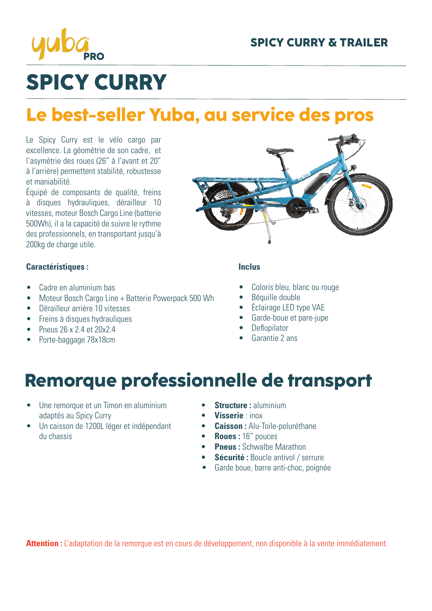

# **SPICY CURRY**

## **Le best-seller Yuba, au service des pros**

Le Spicy Curry est le vélo cargo par excellence. La géométrie de son cadre, et l'asymétrie des roues (26" à l'avant et 20" à l'arrière) permettent stabilité, robustesse et maniabilité.

Équipé de composants de qualité, freins à disques hydrauliques, dérailleur 10 vitesses, moteur Bosch Cargo Line (batterie 500Wh), il a la capacité de suivre le rythme des professionnels, en transportant jusqu'à 200kg de charge utile.

#### **Caractéristiques :**

- Cadre en aluminium bas
- Moteur Bosch Cargo Line + Batterie Powerpack 500 Wh
- Dérailleur arrière 10 vitesses
- Freins à disques hydrauliques
- Pneus 26 x 2.4 et 20x2.4
- Porte-baggage 78x18cm



#### **Inclus**

- Coloris bleu, blanc ou rouge
- Béquille double
- Éclairage LED type VAE
- Garde-boue et pare-jupe
- **Deflopilator**
- Garantie 2 ans

### **Remorque professionnelle de transport**

- Une remorque et un Timon en aluminium adaptés au Spicy Curry
- Un caisson de 1200L léger et indépendant du chassis
- **• Structure :** aluminium
- **• Visserie** : inox
- **• Caisson :** Alu-Toile-poluréthane
- **• Roues :** 16" pouces
- **• Pneus :** Schwalbe Marathon
- **• Sécurité :** Boucle antivol / serrure
- Garde boue, barre anti-choc, poignée

**Attention :** L'adaptation de la remorque est en cours de développement, non disponible à la vente immédiatement.